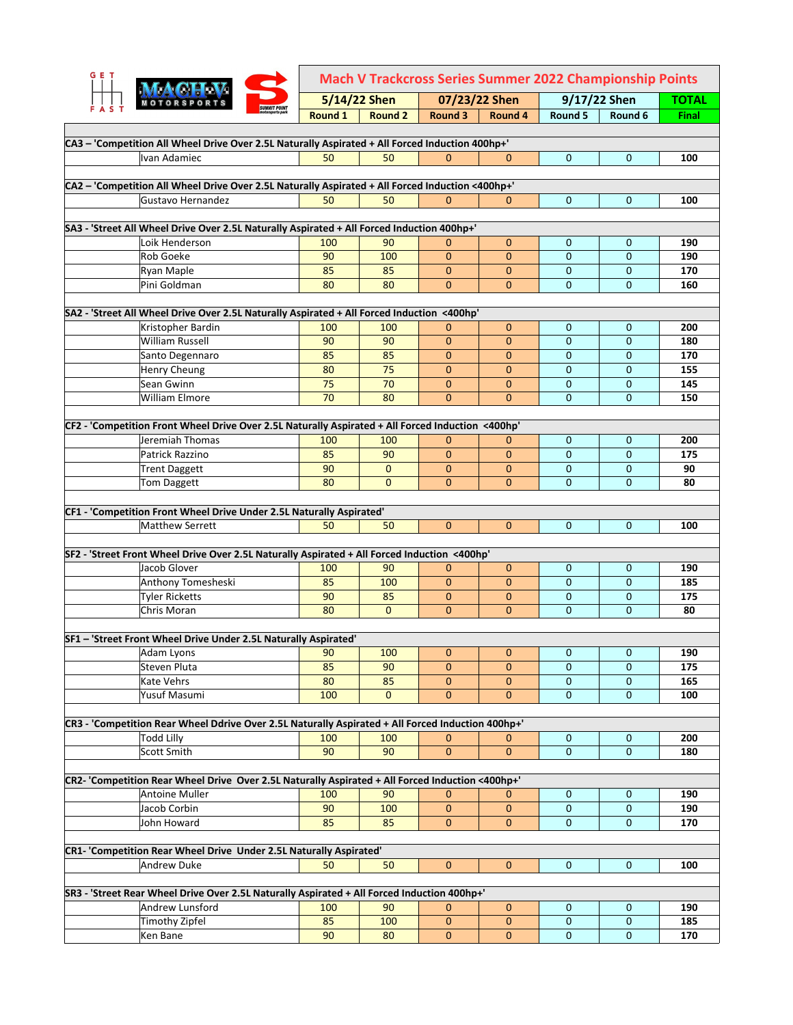| <b>GET</b> |                                                                                                   | <b>Mach V Trackcross Series Summer 2022 Championship Points</b> |                          |                              |                             |                          |                   |              |
|------------|---------------------------------------------------------------------------------------------------|-----------------------------------------------------------------|--------------------------|------------------------------|-----------------------------|--------------------------|-------------------|--------------|
|            |                                                                                                   | 5/14/22 Shen<br>07/23/22 Shen                                   |                          |                              |                             | 9/17/22 Shen             |                   |              |
| A S        | <b>SUMMIT POINT</b>                                                                               | Round 1                                                         | <b>Round 2</b>           | Round 3                      | Round 4                     | Round 5                  | Round 6           | <b>Final</b> |
|            |                                                                                                   |                                                                 |                          |                              |                             |                          |                   |              |
|            | CA3 - 'Competition All Wheel Drive Over 2.5L Naturally Aspirated + All Forced Induction 400hp+'   |                                                                 |                          |                              |                             |                          |                   |              |
|            | Ivan Adamiec                                                                                      | 50                                                              | 50                       | $\mathbf{0}$                 | $\mathbf{0}$                | $\mathbf{0}$             | $\mathbf{0}$      | 100          |
|            | CA2 - 'Competition All Wheel Drive Over 2.5L Naturally Aspirated + All Forced Induction <400hp+'  |                                                                 |                          |                              |                             |                          |                   |              |
|            | Gustavo Hernandez                                                                                 | 50                                                              | 50                       | $\mathbf{0}$                 | 0                           | $\mathbf{0}$             | $\mathbf{0}$      | 100          |
|            |                                                                                                   |                                                                 |                          |                              |                             |                          |                   |              |
|            | SA3 - 'Street All Wheel Drive Over 2.5L Naturally Aspirated + All Forced Induction 400hp+'        |                                                                 |                          |                              |                             |                          |                   |              |
|            | Loik Henderson                                                                                    | 100                                                             | 90                       | $\mathbf 0$                  | $\mathbf{0}$                | 0                        | 0                 | 190          |
|            | <b>Rob Goeke</b>                                                                                  | 90                                                              | 100                      | $\mathbf{0}$                 | $\mathbf{0}$                | $\mathbf{0}$             | $\mathbf{0}$      | 190          |
|            | Ryan Maple                                                                                        | 85                                                              | 85                       | $\mathbf{0}$                 | $\mathbf 0$                 | $\mathbf 0$              | $\mathbf 0$       | 170          |
|            | Pini Goldman                                                                                      | 80                                                              | 80                       | $\mathbf{0}$                 | $\mathbf{0}$                | $\Omega$                 | $\mathbf{0}$      | 160          |
|            | SA2 - 'Street All Wheel Drive Over 2.5L Naturally Aspirated + All Forced Induction <400hp'        |                                                                 |                          |                              |                             |                          |                   |              |
|            | Kristopher Bardin                                                                                 | 100                                                             | 100                      | $\mathbf{0}$                 | $\mathbf 0$                 | $\mathbf{0}$             | $\mathbf{0}$      | 200          |
|            | William Russell                                                                                   | 90                                                              | 90                       | $\mathbf{0}$                 | $\mathbf{0}$                | $\mathbf{0}$             | $\mathbf{0}$      | 180          |
|            | Santo Degennaro                                                                                   | 85                                                              | 85                       | $\mathbf{0}$                 | $\mathbf{0}$                | $\mathbf{0}$             | 0                 | 170          |
|            | <b>Henry Cheung</b>                                                                               | 80                                                              | 75                       | $\mathbf{0}$                 | $\mathbf{0}$                | $\mathbf 0$              | $\mathbf{0}$      | 155          |
|            | Sean Gwinn                                                                                        | 75                                                              | 70                       | $\mathbf 0$                  | $\mathbf{0}$                | $\mathbf{0}$             | $\mathbf{0}$      | 145          |
|            | <b>William Elmore</b>                                                                             | 70                                                              | 80                       | $\mathbf{0}$                 | $\mathbf{0}$                | $\Omega$                 | $\mathbf{0}$      | 150          |
|            |                                                                                                   |                                                                 |                          |                              |                             |                          |                   |              |
|            | CF2 - 'Competition Front Wheel Drive Over 2.5L Naturally Aspirated + All Forced Induction <400hp' |                                                                 |                          |                              |                             |                          |                   |              |
|            | Jeremiah Thomas                                                                                   | 100                                                             | 100                      | 0                            | 0                           | 0                        | $\mathbf{0}$      | 200          |
|            | Patrick Razzino                                                                                   | 85                                                              | 90                       | $\Omega$                     | $\mathbf{0}$                | $\mathbf 0$              | $\mathbf{0}$      | 175          |
|            | <b>Trent Daggett</b><br>Tom Daggett                                                               | 90<br>80                                                        | $\mathbf{0}$<br>$\Omega$ | $\mathbf{0}$<br>$\mathbf{0}$ | $\mathbf 0$<br>$\mathbf{0}$ | $\mathbf{0}$<br>$\Omega$ | 0<br>$\mathbf{0}$ | 90<br>80     |
|            |                                                                                                   |                                                                 |                          |                              |                             |                          |                   |              |
|            | CF1 - 'Competition Front Wheel Drive Under 2.5L Naturally Aspirated'                              |                                                                 |                          |                              |                             |                          |                   |              |
|            | <b>Matthew Serrett</b>                                                                            | 50                                                              | 50                       | $\mathbf{0}$                 | $\mathbf{0}$                | $\Omega$                 | $\mathbf{0}$      | 100          |
|            |                                                                                                   |                                                                 |                          |                              |                             |                          |                   |              |
|            | SF2 - 'Street Front Wheel Drive Over 2.5L Naturally Aspirated + All Forced Induction <400hp'      |                                                                 |                          |                              |                             |                          |                   |              |
|            | Jacob Glover                                                                                      | 100                                                             | 90                       | $\mathbf 0$                  | $\mathbf 0$                 | 0                        | 0                 | 190          |
|            | Anthony Tomesheski                                                                                | 85                                                              | 100                      | $\mathbf{0}$                 | $\mathbf{0}$                | $\mathbf{0}$             | $\mathbf{0}$      | 185          |
|            | <b>Tyler Ricketts</b>                                                                             | 90                                                              | 85                       | $\mathbf{0}$                 | $\mathbf{0}$                | $\mathbf 0$              | 0                 | 175          |
|            | Chris Moran                                                                                       | 80                                                              | $\mathbf{0}$             | $\mathbf{0}$                 | $\mathbf{0}$                | $\mathbf 0$              | $\mathbf{0}$      | 80           |
|            | SF1 - 'Street Front Wheel Drive Under 2.5L Naturally Aspirated'                                   |                                                                 |                          |                              |                             |                          |                   |              |
|            | Adam Lyons                                                                                        | 90                                                              | <b>100</b>               | 0                            | 0                           | 0                        | 0                 | 190          |
|            | Steven Pluta                                                                                      | 85                                                              | 90                       | $\mathbf{0}$                 | $\mathbf{0}$                | $\mathbf 0$              | $\mathbf 0$       | 175          |
|            | Kate Vehrs                                                                                        | 80                                                              | 85                       | $\mathbf{0}$                 | $\mathbf{0}$                | $\mathbf 0$              | 0                 | 165          |
|            | Yusuf Masumi                                                                                      | 100                                                             | $\overline{0}$           | $\mathbf{0}$                 | $\mathbf 0$                 | $\mathbf 0$              | $\mathbf 0$       | 100          |
|            |                                                                                                   |                                                                 |                          |                              |                             |                          |                   |              |
|            | CR3 - 'Competition Rear Wheel Ddrive Over 2.5L Naturally Aspirated + All Forced Induction 400hp+' |                                                                 |                          |                              |                             |                          |                   |              |
|            | <b>Todd Lilly</b>                                                                                 | 100                                                             | 100                      | $\mathbf{0}$                 | 0                           | $\pmb{0}$                | $\mathbf 0$       | 200          |
|            | Scott Smith                                                                                       | 90                                                              | 90                       | $\mathbf{0}$                 | $\mathbf{0}$                | $\mathbf{0}$             | $\mathbf 0$       | 180          |
|            |                                                                                                   |                                                                 |                          |                              |                             |                          |                   |              |
|            | CR2- 'Competition Rear Wheel Drive Over 2.5L Naturally Aspirated + All Forced Induction <400hp+'  |                                                                 |                          |                              |                             |                          |                   |              |
|            | Antoine Muller<br>Jacob Corbin                                                                    | 100<br>90                                                       | 90<br>100                | $\mathbf{0}$                 | $\mathbf 0$                 | 0                        | 0                 | 190<br>190   |
|            | John Howard                                                                                       | 85                                                              | 85                       | 0<br>$\mathbf{0}$            | 0<br>$\pmb{0}$              | 0<br>$\mathbf 0$         | 0<br>$\mathbf 0$  | 170          |
|            |                                                                                                   |                                                                 |                          |                              |                             |                          |                   |              |
|            | CR1- 'Competition Rear Wheel Drive Under 2.5L Naturally Aspirated'                                |                                                                 |                          |                              |                             |                          |                   |              |
|            | <b>Andrew Duke</b>                                                                                | 50                                                              | 50                       | $\mathbf{0}$                 | $\mathbf 0$                 | $\mathbf 0$              | 0                 | 100          |
|            |                                                                                                   |                                                                 |                          |                              |                             |                          |                   |              |
|            | SR3 - 'Street Rear Wheel Drive Over 2.5L Naturally Aspirated + All Forced Induction 400hp+'       |                                                                 |                          |                              |                             |                          |                   |              |
|            | Andrew Lunsford                                                                                   | 100                                                             | 90                       | $\mathbf{0}$                 | 0                           | 0                        | $\mathbf 0$       | 190          |
|            | Timothy Zipfel                                                                                    | 85                                                              | 100                      | $\mathbf 0$                  | $\pmb{0}$                   | $\mathbf 0$              | 0                 | 185          |
|            | Ken Bane                                                                                          | 90                                                              | 80                       | $\mathbf{0}$                 | $\mathbf 0$                 | $\mathbf 0$              | $\mathbf 0$       | 170          |